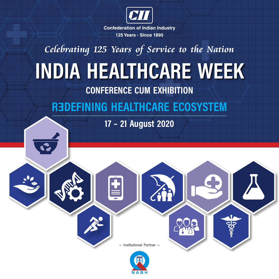

**Confederation of Indian Industry 125 Years - Since 1895** 

## **Celebrating 125 Years of Service to the Nation**

# INDIA HEALTHCARE WEEK

CONFERENCE CUM EXHIBITION

# R**Ǝ**DEFINING HEALTHCARE ECOSYSTEM

17 – 21 August 2020

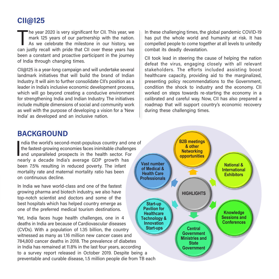#### CII@125

The year 2020 is very significant for CII. This year, we mark 125 years of our partnership with the nation.<br>As we celebrate the milestone in our history, we can justly recall with pride that CII over these years has he year 2020 is very significant for CII. This year, we mark 125 years of our partnership with the nation. As we celebrate the milestone in our history, we been a constant and proactive participant in the journey of India through changing times.

CII@125 is a year-long campaign and will undertake several landmark initiatives that will build the brand of Indian Industry. It will aim to further consolidate CII's position as a leader in India's inclusive economic development process, which will go beyond creating a conducive environment for strengthening India and Indian Industry. The initiatives include multiple dimensions of social and community work as well with the purpose of developing a vision for a 'New India' as developed and an inclusive nation.

In these challenging times, the global pandemic COVID-19 has put the whole world and humanity at risk. It has compelled people to come together at all levels to unitedly combat its deadly devastation.

CII took lead in steering the cause of helping the nation defeat the virus, engaging closely with all relevant stakeholders. The efforts included assisting boost healthcare capacity, providing aid to the marginalized, presenting policy recommendations to the Government, condition the shock to industry and the economy. CII worked on steps towards re-starting the economy in a calibrated and careful way. Now, CII has also prepared a roadmap that will support country's economic recovery during these challenging times.

#### BACKGROUND

India the world's second-most-populous country and on<br>the fastest-growing economies faces inimitable challenge<br>and unparalleled prospects in the health sector. For<br>postly a decade india's average GDB growth base ndia the world's second-most-populous country and one of the fastest-growing economies faces inimitable challenges nearly a decade India's average GDP growth has been 7.5% resulting in reduced poverty. The infant mortality rate and maternal mortality ratio has been on continuous decline.

In India we have world-class and one of the fastest growing pharma and biotech industry, we also have top-notch scientist and doctors and some of the best hospitals which has helped country emerge as one of the preferred medical tourism destinations.

Yet, India faces huge health challenges, one in 4 deaths in India are because of Cardiovascular diseases (CVDs). With a population of 1.35 billion, the country witnessed as many as 1.16 million new cancer cases and 784,800 cancer deaths in 2018. The prevalence of diabetes in India has remained at 11.8% in the last four years, according to a survey report released in October 2019. Despite being a preventable and curable disease, 1.5 million people die from TB each

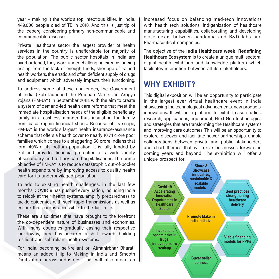year – making it the world's top infectious killer. In India, 449,000 people died of TB in 2018. And this is just tip of the iceberg, considering primary non-communicable and communicable diseases.

Private Healthcare sector the largest provider of health services in the country is unaffordable for majority of the population. The public sector hospitals in India are overburdened, they work under challenging circumstancing arising from the lack of enough funds, shortage of trained health workers, the erratic and often deficient supply of drugs and equipment which adversely impacts their functioning.

To address some of these challenges, the Government of India (GoI) launched the Pradhan Mantri-Jan Arogya Yojana (PM-JAY) in September 2018, with the aim to create a system of demand-led health care reforms that meet the immediate hospitalisation needs of the eligible beneficiary family in a cashless manner thus insulating the family from catastrophic financial shock. Because of its scope, PM-JAY is the world's largest health insurance/assurance scheme that offers a health cover to nearly 10.74 crore poor families which comes to a staggering 50 crore Indians that form 40% of its bottom population. It is fully funded by GoI and provides financial protection for a wide variety of secondary and tertiary care hospitalisations. The prime objective of PM-JAY is to reduce catastrophic out-of-pocket health expenditure by improving access to quality health care for its underprivileged population.

To add to existing health challenges, in the last few months, COVID19 has pushed every nation, including India to relook at their health systems, amplify preparedness to tackle epidemics with such rapid transmissions as well as ensure that care is accessible to the last mile.

These are also times that have brought to the forefront the co-dependent nature of businesses and economies. With many countries gradually easing their respective lockdowns, there has occurred a shift towards building resilient and self-reliant health systems.

For India, becoming self-reliant or "Atmanirbhar Bharat" means an added fillip to Making in India and Smooth Digitization across industries. This will also mean an

increased focus on balancing med-tech innovations with health tech solutions, indigenization of healthcare manufacturing capabilities, collaborating and developing close nexus between academia and R&D labs and Pharmaceutical companies.

The objective of the India Healthcare week: Redefining Healthcare Ecosystem is to create a unique multi sectoral digital health exhibition and knowledge platform which facilitates interaction between all its stakeholders.

#### WHY EXHIBIT?

This digital exposition will be an opportunity to participate in the largest ever virtual healthcare event in India showcasing the technological advancements, new products, innovations. It will be a platform to exhibit case studies, research, applications, equipment, Next-Gen technologies and strategies that are transforming the Healthcare systems and improving care outcomes. This will be an opportunity to explore, discover and facilitate newer partnerships, enable collaborations between private and public stakeholders and chart themes that will drive businesses forward in coming years and beyond. The exhibition will offer a unique prospect for:

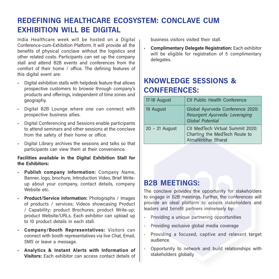#### REDEFINING HEALTHCARE ECOSYSTEM: CONCLAVE CUM EXHIBITION WILL BE DIGITAL

India Healthcare week will be hosted on a Digital Conference-cum-Exhibition Platform. It will provide all the benefits of physical conclave without the logistics and other related costs. Participants can set up the company stall and attend B2B events and conferences from the comfort of their home / office. The defining features of this digital event are:

- Digital exhibition stalls with helpdesk feature that allows prospective customers to browse through company's products and offerings, independent of time zones and geography.
- Digital B2B Lounge where one can connect with prospective business allies.
- Digital Conferencing and Sessions enable participants to attend seminars and other sessions at the conclave from the safety of their home or office.
- Digital Library archives the sessions and talks so that participants can view them at their convenience.

#### Facilities available in the Digital Exhibition Stall for the Exhibitors:

- Publish company information: Company Name, Banner, logo, brochure, Introduction Video, Brief Writeup about your company, contact details, company Website etc.
- Product/Service information: Photographs / Images of products / services; Videos showcasing Product / Capability; product Brochures; product Write-up; product Website/URLs. Each exhibitor can upload up to 10 product details in each stall.
- Company/Booth Representatives: Visitors can connect with booth representatives via live Chat, Email, SMS or leave a message.
- Analytics & Instant Alerts with Information of Visitors: Each exhibitor can access contact details of

business visitors visited their stall.

• Complimentary Delegate Registration: Each exhibitor will be eligible for registration of 5 complimentary delegates.

#### KNOWLEDGE SESSIONS & CONFERENCES:

| 17-18 August     | <b>CII Public Health Conference</b>                                                           |
|------------------|-----------------------------------------------------------------------------------------------|
| 19 August        | Global Ayurveda Conference 2020:<br>Resurgent Ayurveda: Leveraging<br><b>Global Potential</b> |
| $20 - 21$ August | CII MedTech Virtual Summit 2020:<br>Charting the MedTech Route to<br>AtmaNirbhar Bharat       |

#### B2B MEETINGS:

The conclave provides the opportunity for stakeholders to engage in B2B meetings. Further, the conferences will provide an ideal platform to access stakeholders and leaders and benefit partners immensely by:

- Providing a unique partnering opportunities
- Providing exclusive global media coverage
- Providing a focused, captive and relevant target audience
- Opportunity to network and build relationships with stakeholders globally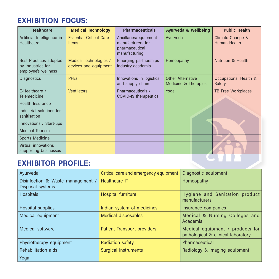#### EXHIBITION FOCUS:

| <b>Healthcare</b>                                                         | <b>Medical Technology</b>                       | <b>Pharmaceuticals</b>                                                        | <b>Ayurveda &amp; Wellbeing</b>           | <b>Public Health</b>                       |
|---------------------------------------------------------------------------|-------------------------------------------------|-------------------------------------------------------------------------------|-------------------------------------------|--------------------------------------------|
| Artificial Intelligence in<br>Healthcare                                  | <b>Essential Critical Care</b><br><b>Items</b>  | Ancillaries/equipment<br>manufacturers for<br>pharmaceutical<br>manufacturing | Ayurveda                                  | Climate Change &<br>Human Health           |
| <b>Best Practices adopted</b><br>by industries for<br>employee's wellness | Medical technologies /<br>devices and equipment | Emerging partnerships-<br>industry-academia                                   | Homeopathy                                | <b>Nutrition &amp; Health</b>              |
| Diagnostics                                                               | <b>PPF<sub>s</sub></b>                          | Innovations in logistics<br>and supply chain                                  | Other Alternative<br>Medicine & Therapies | <b>Occupational Health &amp;</b><br>Safety |
| F-Healthcare /<br><b>Telemedicine</b>                                     | <b>Ventilators</b>                              | Pharmaceuticals /<br>COVID-19 therapeutics                                    | Yoga                                      | <b>TB Free Workplaces</b>                  |
| <b>Health Insurance</b>                                                   |                                                 |                                                                               |                                           |                                            |
| Industrial solutions for<br>sanitisation                                  |                                                 |                                                                               |                                           |                                            |
| Innovations / Start-ups                                                   |                                                 |                                                                               |                                           |                                            |
| <b>Medical Tourism</b>                                                    |                                                 |                                                                               |                                           |                                            |
| <b>Sports Medicine</b>                                                    |                                                 |                                                                               |                                           |                                            |
| Virtual innovations<br>supporting businesses                              |                                                 |                                                                               |                                           |                                            |
| EVUIDITAD                                                                 | DDAEII E.                                       |                                                                               |                                           |                                            |

#### EXHIBITOR PROFILE:

| Ayurveda                                              | Critical care and emergency equipment | Diagnostic equipment                                                   |
|-------------------------------------------------------|---------------------------------------|------------------------------------------------------------------------|
| Disinfection & Waste management /<br>Disposal systems | <b>Healthcare IT</b>                  | Homeopathy                                                             |
| <b>Hospitals</b>                                      | Hospital furniture                    | Hygiene and Sanitation product<br>manufacturers                        |
| <b>Hospital supplies</b>                              | Indian system of medicines            | Insurance companies                                                    |
| Medical equipment                                     | <b>Medical disposables</b>            | Medical & Nursing Colleges and<br>Academia                             |
| <b>Medical software</b>                               | <b>Patient Transport providers</b>    | Medical equipment / products for<br>pathological & clinical laboratory |
| Physiotherapy equipment                               | Radiation safety                      | Pharmaceutical                                                         |
| Rehabilitation aids                                   | <b>Surgical instruments</b>           | Radiology & imaging equipment                                          |
| Yoga                                                  |                                       |                                                                        |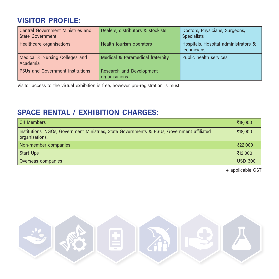### VISITOR PROFILE:

| Central Government Ministries and<br><b>State Government</b> | Dealers, distributors & stockists         | Doctors, Physicians, Surgeons,<br><b>Specialists</b> |
|--------------------------------------------------------------|-------------------------------------------|------------------------------------------------------|
| Healthcare organisations                                     | Health tourism operators                  | Hospitals, Hospital administrators &<br>technicians  |
| Medical & Nursing Colleges and<br>Academia                   | Medical & Paramedical fraternity          | Public health services                               |
| <b>PSUs and Government Institutions</b>                      | Research and Development<br>organisations |                                                      |

Visitor access to the virtual exhibition is free, however pre-registration is must.

#### SPACE RENTAL / EXHIBITION CHARGES:

| <b>CII Members</b>                                                                                                      | ₹18,000        |  |
|-------------------------------------------------------------------------------------------------------------------------|----------------|--|
| Institutions, NGOs, Government Ministries, State Governments & PSUs, Government affiliated<br>₹18,000<br>organisations, |                |  |
| Non-member companies                                                                                                    | ₹22,000        |  |
| Start Ups                                                                                                               | ₹12,000        |  |
| Overseas companies                                                                                                      | <b>USD 300</b> |  |

+ applicable GST